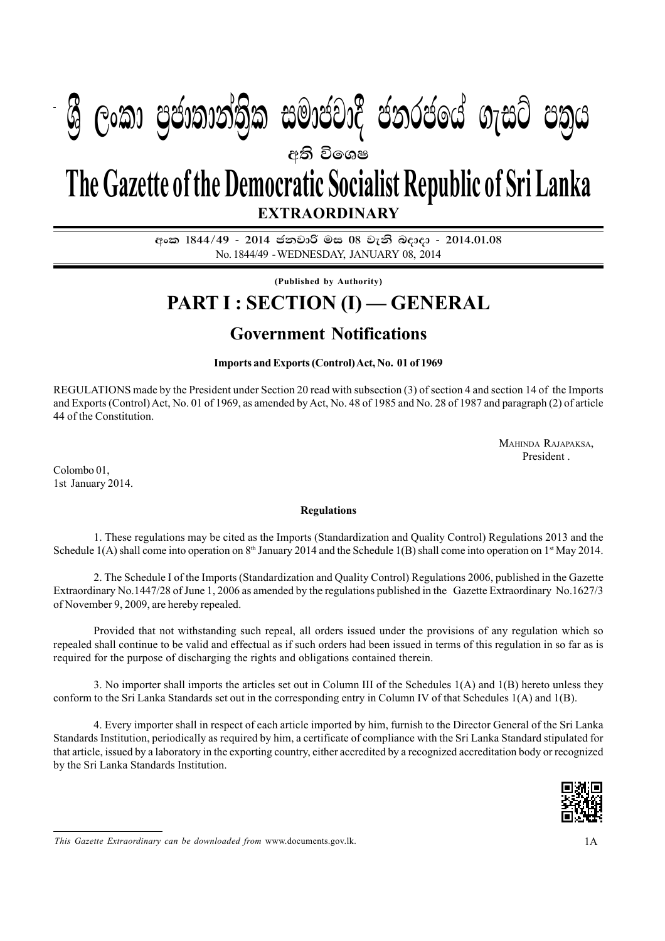## I **fldgi ( ^**I**& fPoh - Y S % ,xld m %cd;dk a; s %l iudcjd§ ckrcfh a w; s úfYI .eiÜ m; %h - 2014'01'08** PART I : SEC. (I) - GAZETTE EXTRAORDINARY OF SANTA SOCIALIST REPUBLIC OF SANTA SOCIALIST REPUBLIC OF SANTA SOC අති වි**ශෙ**ෂ **W Geibrea, mocdic charge in cold m**

# **EXTRAORDINARY The Gazette of the Democratic Socialist Republic of Sri Lanka**

**අංක 1844/49 - 2014 ජනවාරි මස 08 වැනි බ**දාදා - 2014.01.08 No. 1844/49 - WEDNESDAY, JANUARY 08, 2014

**(Published by Authority)**

## **PART I : SECTION (I) — GENERAL**

### **Government Notifications**

#### **Imports and Exports (Control) Act, No. 01 of 1969**

REGULATIONS made by the President under Section 20 read with subsection (3) of section 4 and section 14 of the Imports and Exports (Control) Act, No. 01 of 1969, as amended by Act, No. 48 of 1985 and No. 28 of 1987 and paragraph (2) of article 44 of the Constitution.

> MAHINDA RAJAPAKSA, **President**

Colombo 01, 1st January 2014.

#### **Regulations**

1. These regulations may be cited as the Imports (Standardization and Quality Control) Regulations 2013 and the Schedule  $1(A)$  shall come into operation on 8<sup>th</sup> January 2014 and the Schedule 1(B) shall come into operation on 1<sup>st</sup> May 2014.

2. The Schedule I of the Imports (Standardization and Quality Control) Regulations 2006, published in the Gazette Extraordinary No.1447/28 of June 1, 2006 as amended by the regulations published in the Gazette Extraordinary No.1627/3 of November 9, 2009, are hereby repealed.

Provided that not withstanding such repeal, all orders issued under the provisions of any regulation which so repealed shall continue to be valid and effectual as if such orders had been issued in terms of this regulation in so far as is required for the purpose of discharging the rights and obligations contained therein.

3. No importer shall imports the articles set out in Column III of the Schedules 1(A) and 1(B) hereto unless they conform to the Sri Lanka Standards set out in the corresponding entry in Column IV of that Schedules 1(A) and 1(B).

4. Every importer shall in respect of each article imported by him, furnish to the Director General of the Sri Lanka Standards Institution, periodically as required by him, a certificate of compliance with the Sri Lanka Standard stipulated for that article, issued by a laboratory in the exporting country, either accredited by a recognized accreditation body or recognized by the Sri Lanka Standards Institution.



*This Gazette Extraordinary can be downloaded from www.documents.gov.lk.* 1A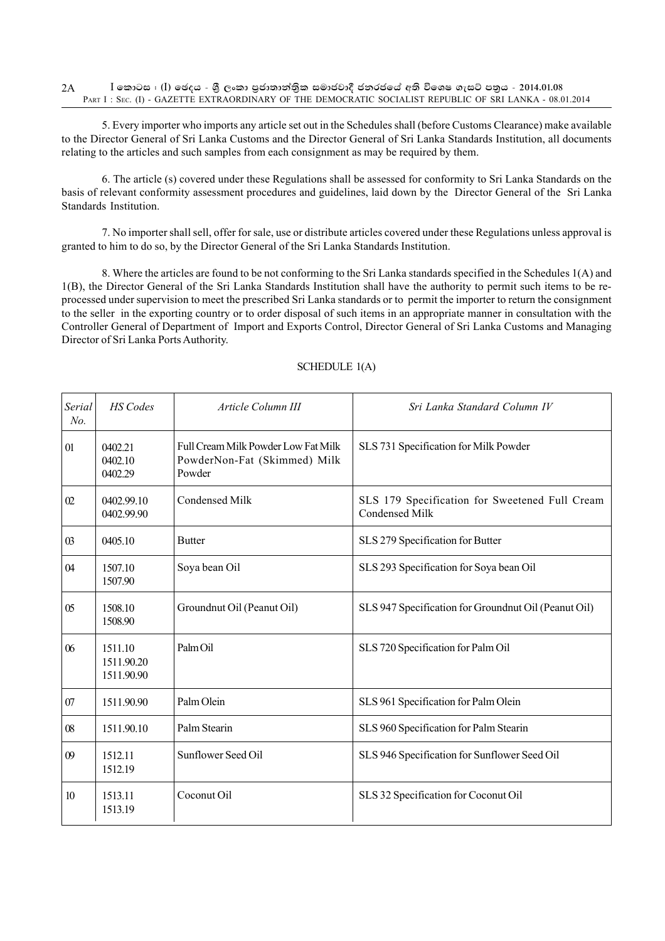5. Every importer who imports any article set out in the Schedules shall (before Customs Clearance) make available to the Director General of Sri Lanka Customs and the Director General of Sri Lanka Standards Institution, all documents relating to the articles and such samples from each consignment as may be required by them.

6. The article (s) covered under these Regulations shall be assessed for conformity to Sri Lanka Standards on the basis of relevant conformity assessment procedures and guidelines, laid down by the Director General of the Sri Lanka Standards Institution.

7. No importer shall sell, offer for sale, use or distribute articles covered under these Regulations unless approval is granted to him to do so, by the Director General of the Sri Lanka Standards Institution.

8. Where the articles are found to be not conforming to the Sri Lanka standards specified in the Schedules 1(A) and 1(B), the Director General of the Sri Lanka Standards Institution shall have the authority to permit such items to be reprocessed under supervision to meet the prescribed Sri Lanka standards or to permit the importer to return the consignment to the seller in the exporting country or to order disposal of such items in an appropriate manner in consultation with the Controller General of Department of Import and Exports Control, Director General of Sri Lanka Customs and Managing Director of Sri Lanka Ports Authority.

| Serial<br>No. | <b>HS</b> Codes                     | Article Column III                                                            | Sri Lanka Standard Column IV                                            |
|---------------|-------------------------------------|-------------------------------------------------------------------------------|-------------------------------------------------------------------------|
| 01            | 0402.21<br>0402.10<br>0402.29       | Full Cream Milk Powder Low Fat Milk<br>PowderNon-Fat (Skimmed) Milk<br>Powder | SLS 731 Specification for Milk Powder                                   |
| 02            | 0402.99.10<br>0402.99.90            | <b>Condensed Milk</b>                                                         | SLS 179 Specification for Sweetened Full Cream<br><b>Condensed Milk</b> |
| 03            | 0405.10                             | <b>Butter</b>                                                                 | SLS 279 Specification for Butter                                        |
| 04            | 1507.10<br>1507.90                  | Soya bean Oil                                                                 | SLS 293 Specification for Soya bean Oil                                 |
| 05            | 1508.10<br>1508.90                  | Groundnut Oil (Peanut Oil)                                                    | SLS 947 Specification for Groundnut Oil (Peanut Oil)                    |
| 06            | 1511.10<br>1511.90.20<br>1511.90.90 | Palm Oil                                                                      | SLS 720 Specification for Palm Oil                                      |
| 07            | 1511.90.90                          | Palm Olein                                                                    | SLS 961 Specification for Palm Olein                                    |
| 08            | 1511.90.10                          | Palm Stearin                                                                  | SLS 960 Specification for Palm Stearin                                  |
| 09            | 1512.11<br>1512.19                  | Sunflower Seed Oil                                                            | SLS 946 Specification for Sunflower Seed Oil                            |
| 10            | 1513.11<br>1513.19                  | Coconut Oil                                                                   | SLS 32 Specification for Coconut Oil                                    |

#### SCHEDULE 1(A)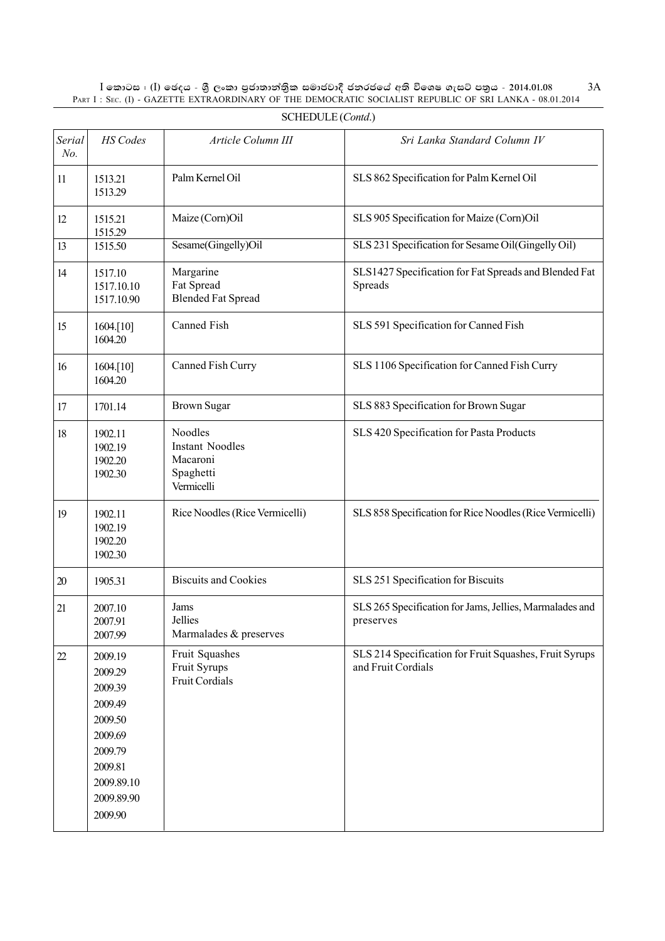$\rm I$  කොටස : ( $\rm I$ ) ඡෙදය - ශුී ලංකා පුජාතාන්තිුක සමාජවාදී ජනරජයේ අති විශෙෂ ගැසට් පතුය - 2014.01.08 PART I : SEC. (I) - GAZETTE EXTRAORDINARY OF THE DEMOCRATIC SOCIALIST REPUBLIC OF SRI LANKA - 08.01.2014 3A

| Serial<br>No. | HS Codes                                                                                                                    | Article Column III                                                       | Sri Lanka Standard Column IV                                                 |
|---------------|-----------------------------------------------------------------------------------------------------------------------------|--------------------------------------------------------------------------|------------------------------------------------------------------------------|
| 11            | 1513.21<br>1513.29                                                                                                          | Palm Kernel Oil                                                          | SLS 862 Specification for Palm Kernel Oil                                    |
| 12            | 1515.21<br>1515.29                                                                                                          | Maize (Corn)Oil                                                          | SLS 905 Specification for Maize (Corn)Oil                                    |
| 13            | 1515.50                                                                                                                     | Sesame(Gingelly)Oil                                                      | SLS 231 Specification for Sesame Oil(Gingelly Oil)                           |
| 14            | 1517.10<br>1517.10.10<br>1517.10.90                                                                                         | Margarine<br>Fat Spread<br><b>Blended Fat Spread</b>                     | SLS1427 Specification for Fat Spreads and Blended Fat<br>Spreads             |
| 15            | 1604.[10]<br>1604.20                                                                                                        | Canned Fish                                                              | SLS 591 Specification for Canned Fish                                        |
| 16            | 1604.[10]<br>1604.20                                                                                                        | Canned Fish Curry                                                        | SLS 1106 Specification for Canned Fish Curry                                 |
| 17            | 1701.14                                                                                                                     | <b>Brown Sugar</b>                                                       | SLS 883 Specification for Brown Sugar                                        |
| 18            | 1902.11<br>1902.19<br>1902.20<br>1902.30                                                                                    | Noodles<br><b>Instant Noodles</b><br>Macaroni<br>Spaghetti<br>Vermicelli | SLS 420 Specification for Pasta Products                                     |
| 19            | 1902.11<br>1902.19<br>1902.20<br>1902.30                                                                                    | Rice Noodles (Rice Vermicelli)                                           | SLS 858 Specification for Rice Noodles (Rice Vermicelli)                     |
| $20\,$        | 1905.31                                                                                                                     | <b>Biscuits and Cookies</b>                                              | SLS 251 Specification for Biscuits                                           |
| 21            | 2007.10<br>2007.91<br>2007.99                                                                                               | Jams<br><b>Jellies</b><br>Marmalades & preserves                         | SLS 265 Specification for Jams, Jellies, Marmalades and<br>preserves         |
| 22            | 2009.19<br>2009.29<br>2009.39<br>2009.49<br>2009.50<br>2009.69<br>2009.79<br>2009.81<br>2009.89.10<br>2009.89.90<br>2009.90 | Fruit Squashes<br>Fruit Syrups<br><b>Fruit Cordials</b>                  | SLS 214 Specification for Fruit Squashes, Fruit Syrups<br>and Fruit Cordials |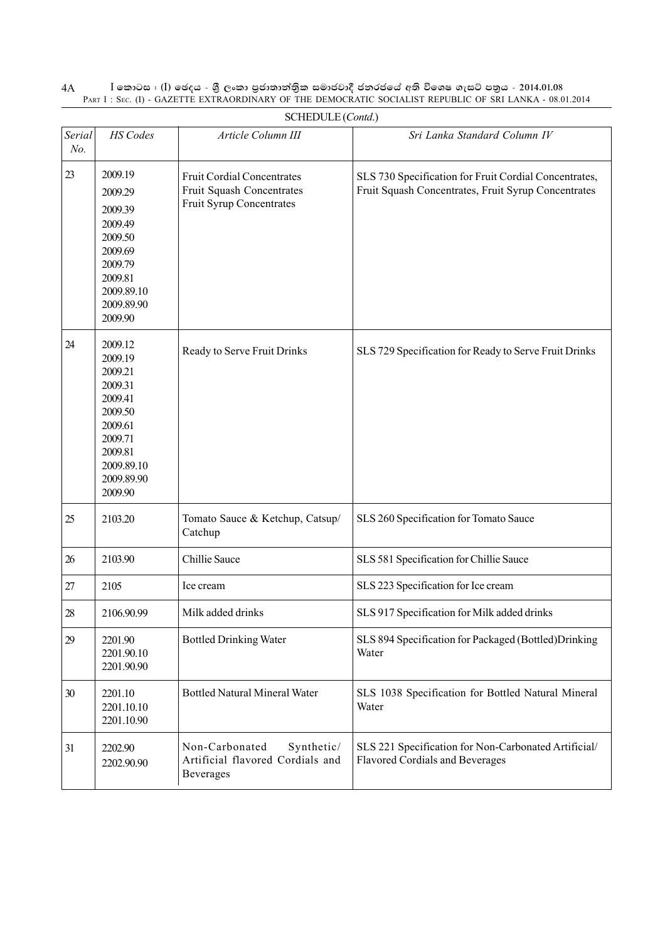$\rm I$  කොටස : ( $\rm I$ ) ඡෙදය - ශුී ලංකා පුජාතාන්තිුක සමාජවාදී ජනරජයේ අති විශෙෂ ගැසට් පතුය - 2014.01.08 PART I : SEC. (I) - GAZETTE EXTRAORDINARY OF THE DEMOCRATIC SOCIALIST REPUBLIC OF SRI LANKA - 08.01.2014 4A

| Serial<br>No. | HS Codes                                                                                                                               | Article Column III                                                                         | Sri Lanka Standard Column IV                                                                                 |
|---------------|----------------------------------------------------------------------------------------------------------------------------------------|--------------------------------------------------------------------------------------------|--------------------------------------------------------------------------------------------------------------|
| 23            | 2009.19<br>2009.29<br>2009.39<br>2009.49<br>2009.50<br>2009.69<br>2009.79<br>2009.81<br>2009.89.10<br>2009.89.90<br>2009.90            | <b>Fruit Cordial Concentrates</b><br>Fruit Squash Concentrates<br>Fruit Syrup Concentrates | SLS 730 Specification for Fruit Cordial Concentrates,<br>Fruit Squash Concentrates, Fruit Syrup Concentrates |
| 24            | 2009.12<br>2009.19<br>2009.21<br>2009.31<br>2009.41<br>2009.50<br>2009.61<br>2009.71<br>2009.81<br>2009.89.10<br>2009.89.90<br>2009.90 | Ready to Serve Fruit Drinks                                                                | SLS 729 Specification for Ready to Serve Fruit Drinks                                                        |
| 25            | 2103.20                                                                                                                                | Tomato Sauce & Ketchup, Catsup/<br>Catchup                                                 | SLS 260 Specification for Tomato Sauce                                                                       |
| 26            | 2103.90                                                                                                                                | Chillie Sauce                                                                              | SLS 581 Specification for Chillie Sauce                                                                      |
| 27            | 2105                                                                                                                                   | Ice cream                                                                                  | SLS 223 Specification for Ice cream                                                                          |
| 28            | 2106.90.99                                                                                                                             | Milk added drinks                                                                          | SLS 917 Specification for Milk added drinks                                                                  |
| 29            | 2201.90<br>2201.90.10<br>2201.90.90                                                                                                    | <b>Bottled Drinking Water</b>                                                              | SLS 894 Specification for Packaged (Bottled)Drinking<br>Water                                                |
| 30            | 2201.10<br>2201.10.10<br>2201.10.90                                                                                                    | <b>Bottled Natural Mineral Water</b>                                                       | SLS 1038 Specification for Bottled Natural Mineral<br>Water                                                  |
| 31            | 2202.90<br>2202.90.90                                                                                                                  | Non-Carbonated<br>Synthetic/<br>Artificial flavored Cordials and<br>Beverages              | SLS 221 Specification for Non-Carbonated Artificial/<br>Flavored Cordials and Beverages                      |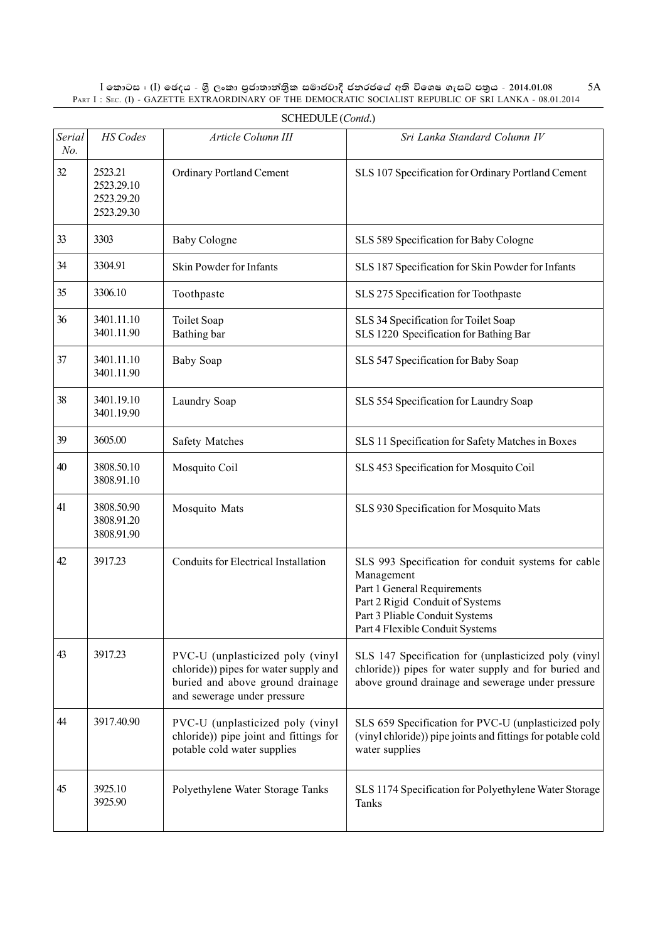$\rm I$  කොටස : ( $\rm I$ ) ඡෙදය - ශුී ලංකා පුජාතාන්තිුක සමාජවාදී ජනරජයේ අති විශෙෂ ගැසට් පතුය - 2014.01.08 PART I : SEC. (I) - GAZETTE EXTRAORDINARY OF THE DEMOCRATIC SOCIALIST REPUBLIC OF SRI LANKA - 08.01.2014 5A

| Serial<br>No. | HS Codes                                          | Article Column III                                                                                                                           | Sri Lanka Standard Column IV                                                                                                                                                                             |
|---------------|---------------------------------------------------|----------------------------------------------------------------------------------------------------------------------------------------------|----------------------------------------------------------------------------------------------------------------------------------------------------------------------------------------------------------|
| 32            | 2523.21<br>2523.29.10<br>2523.29.20<br>2523.29.30 | <b>Ordinary Portland Cement</b>                                                                                                              | SLS 107 Specification for Ordinary Portland Cement                                                                                                                                                       |
| 33            | 3303                                              | <b>Baby Cologne</b>                                                                                                                          | SLS 589 Specification for Baby Cologne                                                                                                                                                                   |
| 34            | 3304.91                                           | Skin Powder for Infants                                                                                                                      | SLS 187 Specification for Skin Powder for Infants                                                                                                                                                        |
| 35            | 3306.10                                           | Toothpaste                                                                                                                                   | SLS 275 Specification for Toothpaste                                                                                                                                                                     |
| 36            | 3401.11.10<br>3401.11.90                          | Toilet Soap<br>Bathing bar                                                                                                                   | SLS 34 Specification for Toilet Soap<br>SLS 1220 Specification for Bathing Bar                                                                                                                           |
| 37            | 3401.11.10<br>3401.11.90                          | <b>Baby Soap</b>                                                                                                                             | SLS 547 Specification for Baby Soap                                                                                                                                                                      |
| 38            | 3401.19.10<br>3401.19.90                          | Laundry Soap                                                                                                                                 | SLS 554 Specification for Laundry Soap                                                                                                                                                                   |
| 39            | 3605.00                                           | Safety Matches                                                                                                                               | SLS 11 Specification for Safety Matches in Boxes                                                                                                                                                         |
| 40            | 3808.50.10<br>3808.91.10                          | Mosquito Coil                                                                                                                                | SLS 453 Specification for Mosquito Coil                                                                                                                                                                  |
| 41            | 3808.50.90<br>3808.91.20<br>3808.91.90            | Mosquito Mats                                                                                                                                | SLS 930 Specification for Mosquito Mats                                                                                                                                                                  |
| 42            | 3917.23                                           | Conduits for Electrical Installation                                                                                                         | SLS 993 Specification for conduit systems for cable<br>Management<br>Part 1 General Requirements<br>Part 2 Rigid Conduit of Systems<br>Part 3 Pliable Conduit Systems<br>Part 4 Flexible Conduit Systems |
| 43            | 3917.23                                           | PVC-U (unplasticized poly (vinyl<br>chloride)) pipes for water supply and<br>buried and above ground drainage<br>and sewerage under pressure | SLS 147 Specification for (unplasticized poly (vinyl<br>chloride)) pipes for water supply and for buried and<br>above ground drainage and sewerage under pressure                                        |
| 44            | 3917.40.90                                        | PVC-U (unplasticized poly (vinyl<br>chloride)) pipe joint and fittings for<br>potable cold water supplies                                    | SLS 659 Specification for PVC-U (unplasticized poly<br>(vinyl chloride)) pipe joints and fittings for potable cold<br>water supplies                                                                     |
| 45            | 3925.10<br>3925.90                                | Polyethylene Water Storage Tanks                                                                                                             | SLS 1174 Specification for Polyethylene Water Storage<br>Tanks                                                                                                                                           |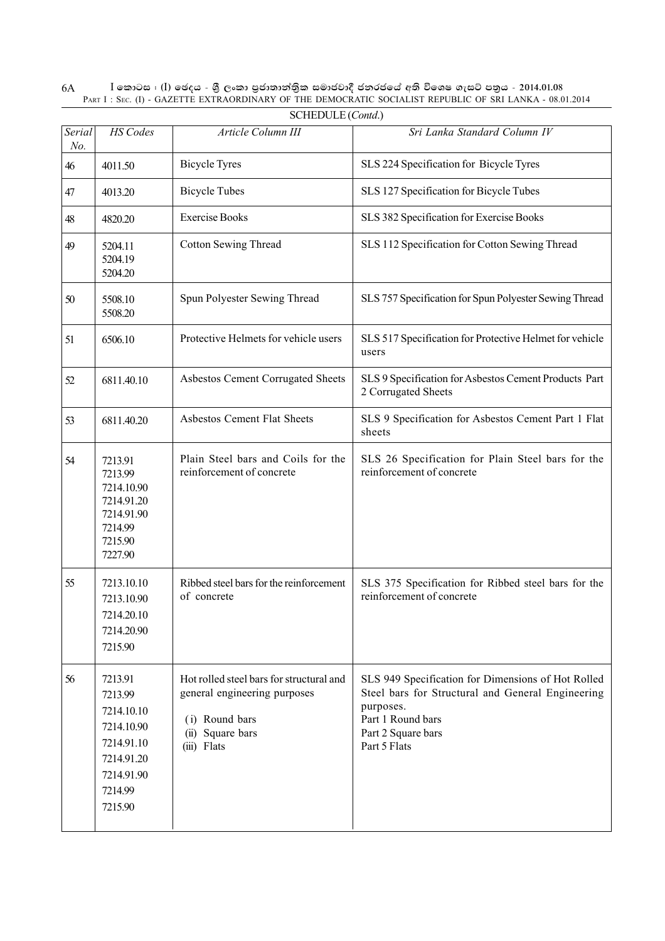$\rm I$  කොටස : ( $\rm I$ ) ඡෙදය - ශුී ලංකා පුජාතාන්තිුක සමාජවාදී ජනරජයේ අති විශෙෂ ගැසට් පතුය - 2014.01.08 PART I : SEC. (I) - GAZETTE EXTRAORDINARY OF THE DEMOCRATIC SOCIALIST REPUBLIC OF SRI LANKA - 08.01.2014 6A

| Serial | <b>HS</b> Codes                                                                                                | SUILDULE (COMM.)<br>Article Column III                                                                                        | Sri Lanka Standard Column IV                                                                                                                                                    |
|--------|----------------------------------------------------------------------------------------------------------------|-------------------------------------------------------------------------------------------------------------------------------|---------------------------------------------------------------------------------------------------------------------------------------------------------------------------------|
| No.    |                                                                                                                |                                                                                                                               |                                                                                                                                                                                 |
| 46     | 4011.50                                                                                                        | <b>Bicycle Tyres</b>                                                                                                          | SLS 224 Specification for Bicycle Tyres                                                                                                                                         |
| 47     | 4013.20                                                                                                        | <b>Bicycle Tubes</b>                                                                                                          | SLS 127 Specification for Bicycle Tubes                                                                                                                                         |
| 48     | 4820.20                                                                                                        | <b>Exercise Books</b>                                                                                                         | SLS 382 Specification for Exercise Books                                                                                                                                        |
| 49     | 5204.11<br>5204.19<br>5204.20                                                                                  | <b>Cotton Sewing Thread</b>                                                                                                   | SLS 112 Specification for Cotton Sewing Thread                                                                                                                                  |
| 50     | 5508.10<br>5508.20                                                                                             | Spun Polyester Sewing Thread                                                                                                  | SLS 757 Specification for Spun Polyester Sewing Thread                                                                                                                          |
| 51     | 6506.10                                                                                                        | Protective Helmets for vehicle users                                                                                          | SLS 517 Specification for Protective Helmet for vehicle<br>users                                                                                                                |
| 52     | 6811.40.10                                                                                                     | Asbestos Cement Corrugated Sheets                                                                                             | SLS 9 Specification for Asbestos Cement Products Part<br>2 Corrugated Sheets                                                                                                    |
| 53     | 6811.40.20                                                                                                     | <b>Asbestos Cement Flat Sheets</b>                                                                                            | SLS 9 Specification for Asbestos Cement Part 1 Flat<br>sheets                                                                                                                   |
| 54     | 7213.91<br>7213.99<br>7214.10.90<br>7214.91.20<br>7214.91.90<br>7214.99<br>7215.90<br>7227.90                  | Plain Steel bars and Coils for the<br>reinforcement of concrete                                                               | SLS 26 Specification for Plain Steel bars for the<br>reinforcement of concrete                                                                                                  |
| 55     | 7213.10.10<br>7213.10.90<br>7214.20.10<br>7214.20.90<br>7215.90                                                | Ribbed steel bars for the reinforcement<br>of concrete                                                                        | SLS 375 Specification for Ribbed steel bars for the<br>reinforcement of concrete                                                                                                |
| 56     | 7213.91<br>7213.99<br>7214.10.10<br>7214.10.90<br>7214.91.10<br>7214.91.20<br>7214.91.90<br>7214.99<br>7215.90 | Hot rolled steel bars for structural and<br>general engineering purposes<br>(i) Round bars<br>(ii) Square bars<br>(iii) Flats | SLS 949 Specification for Dimensions of Hot Rolled<br>Steel bars for Structural and General Engineering<br>purposes.<br>Part 1 Round bars<br>Part 2 Square bars<br>Part 5 Flats |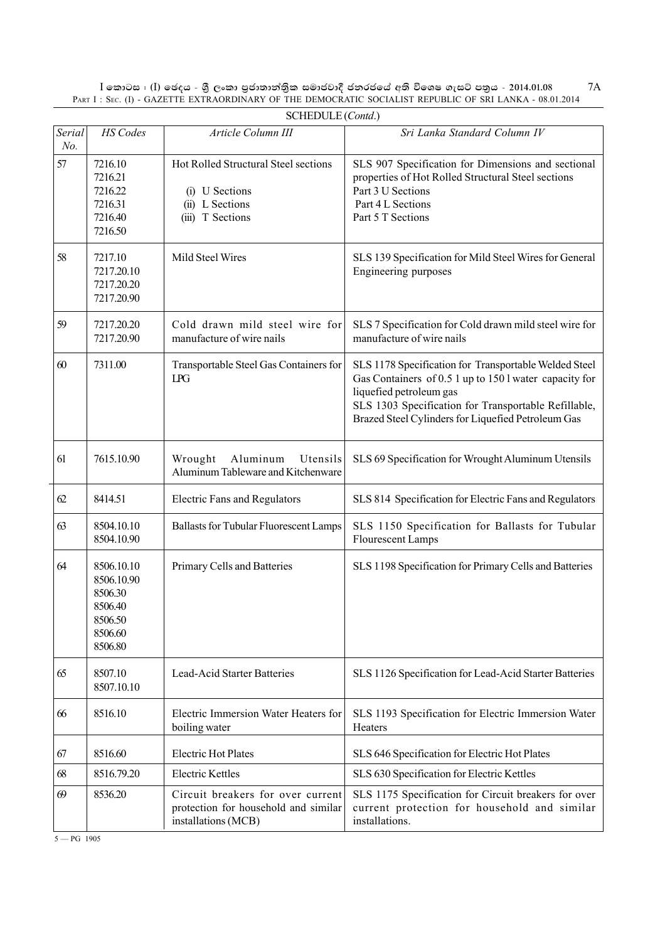| l කොටස : (l) ඡෙදය - ශුී ලංකා පුජාතාන්තිුක සමාජවාදී ජනරජයේ අති විශෙෂ ගැසට් පතුය - 2014.01.08              | 7Α |
|----------------------------------------------------------------------------------------------------------|----|
| PART I : SEC. (I) - GAZETTE EXTRAORDINARY OF THE DEMOCRATIC SOCIALIST REPUBLIC OF SRI LANKA - 08.01.2014 |    |

| Serial<br>No. | <b>HS</b> Codes                                                                 | Article Column III                                                                               | Sri Lanka Standard Column IV                                                                                                                                                                                                                             |
|---------------|---------------------------------------------------------------------------------|--------------------------------------------------------------------------------------------------|----------------------------------------------------------------------------------------------------------------------------------------------------------------------------------------------------------------------------------------------------------|
| 57            | 7216.10<br>7216.21<br>7216.22<br>7216.31<br>7216.40<br>7216.50                  | Hot Rolled Structural Steel sections<br>(i) U Sections<br>(ii) L Sections<br>(iii) T Sections    | SLS 907 Specification for Dimensions and sectional<br>properties of Hot Rolled Structural Steel sections<br>Part 3 U Sections<br>Part 4 L Sections<br>Part 5 T Sections                                                                                  |
| 58            | 7217.10<br>7217.20.10<br>7217.20.20<br>7217.20.90                               | Mild Steel Wires                                                                                 | SLS 139 Specification for Mild Steel Wires for General<br>Engineering purposes                                                                                                                                                                           |
| 59            | 7217.20.20<br>7217.20.90                                                        | Cold drawn mild steel wire for<br>manufacture of wire nails                                      | SLS 7 Specification for Cold drawn mild steel wire for<br>manufacture of wire nails                                                                                                                                                                      |
| 60            | 7311.00                                                                         | Transportable Steel Gas Containers for<br>LPG                                                    | SLS 1178 Specification for Transportable Welded Steel<br>Gas Containers of 0.5 1 up to 150 l water capacity for<br>liquefied petroleum gas<br>SLS 1303 Specification for Transportable Refillable,<br>Brazed Steel Cylinders for Liquefied Petroleum Gas |
| 61            | 7615.10.90                                                                      | Wrought<br>Aluminum<br>Utensils<br>Aluminum Tableware and Kitchenware                            | SLS 69 Specification for Wrought Aluminum Utensils                                                                                                                                                                                                       |
| 62            | 8414.51                                                                         | <b>Electric Fans and Regulators</b>                                                              | SLS 814 Specification for Electric Fans and Regulators                                                                                                                                                                                                   |
| 63            | 8504.10.10<br>8504.10.90                                                        | <b>Ballasts for Tubular Fluorescent Lamps</b>                                                    | SLS 1150 Specification for Ballasts for Tubular<br>Flourescent Lamps                                                                                                                                                                                     |
| 64            | 8506.10.10<br>8506.10.90<br>8506.30<br>8506.40<br>8506.50<br>8506.60<br>8506.80 | Primary Cells and Batteries                                                                      | SLS 1198 Specification for Primary Cells and Batteries                                                                                                                                                                                                   |
| 65            | 8507.10<br>8507.10.10                                                           | Lead-Acid Starter Batteries                                                                      | SLS 1126 Specification for Lead-Acid Starter Batteries                                                                                                                                                                                                   |
| 66            | 8516.10                                                                         | Electric Immersion Water Heaters for<br>boiling water                                            | SLS 1193 Specification for Electric Immersion Water<br><b>Heaters</b>                                                                                                                                                                                    |
| 67            | 8516.60                                                                         | <b>Electric Hot Plates</b>                                                                       | SLS 646 Specification for Electric Hot Plates                                                                                                                                                                                                            |
| 68            | 8516.79.20                                                                      | <b>Electric Kettles</b>                                                                          | SLS 630 Specification for Electric Kettles                                                                                                                                                                                                               |
| 69            | 8536.20                                                                         | Circuit breakers for over current<br>protection for household and similar<br>installations (MCB) | SLS 1175 Specification for Circuit breakers for over<br>current protection for household and similar<br>installations.                                                                                                                                   |

SCHEDULE (*Contd*.)

 $5 - PG$  1905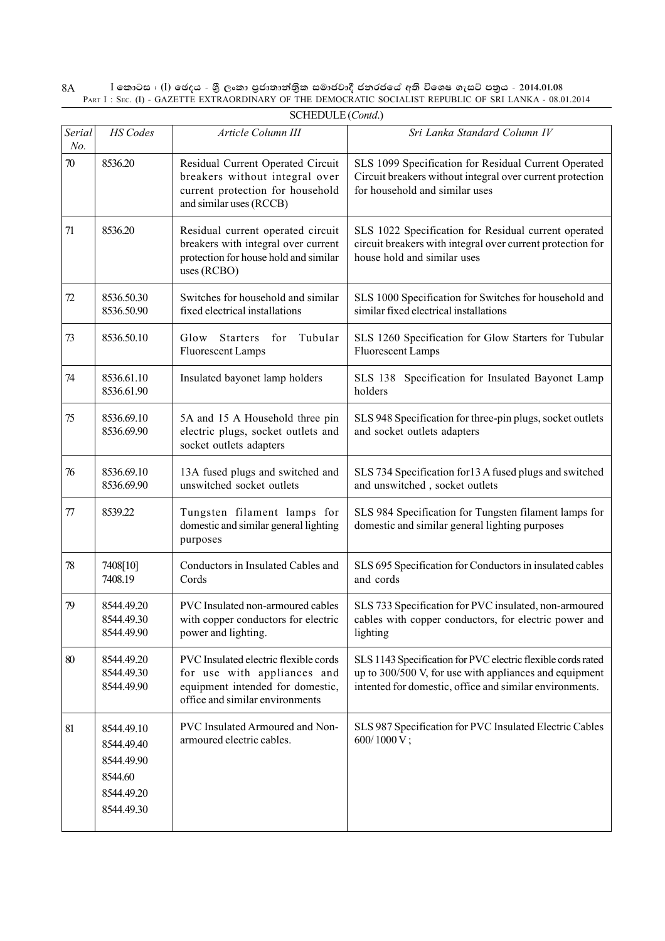$\rm I$  කොටස : ( $\rm I$ ) ඡෙදය - ශුී ලංකා පුජාතාන්තිුක සමාජවාදී ජනරජයේ අති විශෙෂ ගැසට් පතුය - 2014.01.08 PART I : SEC. (I) - GAZETTE EXTRAORDINARY OF THE DEMOCRATIC SOCIALIST REPUBLIC OF SRI LANKA - 08.01.2014 8A

| Serial<br>No. | HS Codes                                                                      | Article Column III                                                                                                                          | Sri Lanka Standard Column IV                                                                                                                                                      |
|---------------|-------------------------------------------------------------------------------|---------------------------------------------------------------------------------------------------------------------------------------------|-----------------------------------------------------------------------------------------------------------------------------------------------------------------------------------|
| 70            | 8536.20                                                                       | Residual Current Operated Circuit<br>breakers without integral over<br>current protection for household<br>and similar uses (RCCB)          | SLS 1099 Specification for Residual Current Operated<br>Circuit breakers without integral over current protection<br>for household and similar uses                               |
| 71            | 8536.20                                                                       | Residual current operated circuit<br>breakers with integral over current<br>protection for house hold and similar<br>uses $(RCBO)$          | SLS 1022 Specification for Residual current operated<br>circuit breakers with integral over current protection for<br>house hold and similar uses                                 |
| 72            | 8536.50.30<br>8536.50.90                                                      | Switches for household and similar<br>fixed electrical installations                                                                        | SLS 1000 Specification for Switches for household and<br>similar fixed electrical installations                                                                                   |
| 73            | 8536.50.10                                                                    | Glow Starters<br>Tubular<br>for<br>Fluorescent Lamps                                                                                        | SLS 1260 Specification for Glow Starters for Tubular<br>Fluorescent Lamps                                                                                                         |
| 74            | 8536.61.10<br>8536.61.90                                                      | Insulated bayonet lamp holders                                                                                                              | SLS 138 Specification for Insulated Bayonet Lamp<br>holders                                                                                                                       |
| 75            | 8536.69.10<br>8536.69.90                                                      | 5A and 15 A Household three pin<br>electric plugs, socket outlets and<br>socket outlets adapters                                            | SLS 948 Specification for three-pin plugs, socket outlets<br>and socket outlets adapters                                                                                          |
| 76            | 8536.69.10<br>8536.69.90                                                      | 13A fused plugs and switched and<br>unswitched socket outlets                                                                               | SLS 734 Specification for 13 A fused plugs and switched<br>and unswitched, socket outlets                                                                                         |
| 77            | 8539.22                                                                       | Tungsten filament lamps for<br>domestic and similar general lighting<br>purposes                                                            | SLS 984 Specification for Tungsten filament lamps for<br>domestic and similar general lighting purposes                                                                           |
| 78            | 7408[10]<br>7408.19                                                           | Conductors in Insulated Cables and<br>Cords                                                                                                 | SLS 695 Specification for Conductors in insulated cables<br>and cords                                                                                                             |
| 79            | 8544.49.20<br>8544.49.30<br>8544.49.90                                        | PVC Insulated non-armoured cables<br>with copper conductors for electric<br>power and lighting.                                             | SLS 733 Specification for PVC insulated, non-armoured<br>cables with copper conductors, for electric power and<br>lighting                                                        |
| 80            | 8544.49.20<br>8544.49.30<br>8544.49.90                                        | PVC Insulated electric flexible cords<br>for use with appliances and<br>equipment intended for domestic,<br>office and similar environments | SLS 1143 Specification for PVC electric flexible cords rated<br>up to 300/500 V, for use with appliances and equipment<br>intented for domestic, office and similar environments. |
| 81            | 8544.49.10<br>8544.49.40<br>8544.49.90<br>8544.60<br>8544.49.20<br>8544.49.30 | PVC Insulated Armoured and Non-<br>armoured electric cables.                                                                                | SLS 987 Specification for PVC Insulated Electric Cables<br>600/1000 V;                                                                                                            |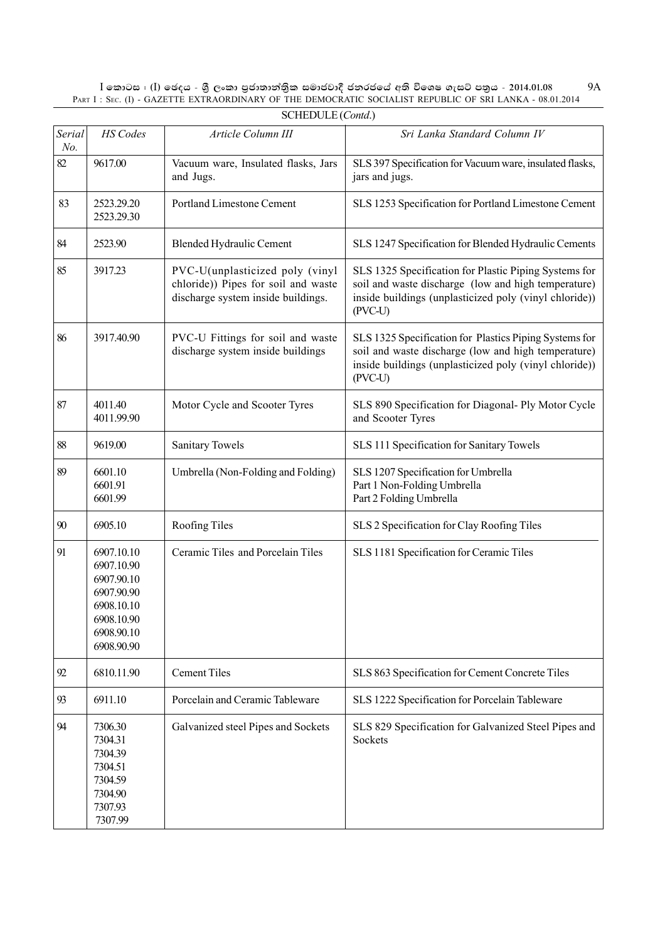$\rm I$  කොටස : ( $\rm I$ ) ඡෙදය - ශුී ලංකා පුජාතාන්තිුක සමාජවාදී ජනරජයේ අති විශෙෂ ගැසට් පතුය - 2014.01.08 PART I : SEC. (I) - GAZETTE EXTRAORDINARY OF THE DEMOCRATIC SOCIALIST REPUBLIC OF SRI LANKA - 08.01.2014

| Serial<br>No. | HS Codes                                                                                                     | Article Column III                                                                                           | Sri Lanka Standard Column IV                                                                                                                                                       |
|---------------|--------------------------------------------------------------------------------------------------------------|--------------------------------------------------------------------------------------------------------------|------------------------------------------------------------------------------------------------------------------------------------------------------------------------------------|
| 82            | 9617.00                                                                                                      | Vacuum ware, Insulated flasks, Jars<br>and Jugs.                                                             | SLS 397 Specification for Vacuum ware, insulated flasks,<br>jars and jugs.                                                                                                         |
| 83            | 2523.29.20<br>2523.29.30                                                                                     | Portland Limestone Cement                                                                                    | SLS 1253 Specification for Portland Limestone Cement                                                                                                                               |
| 84            | 2523.90                                                                                                      | <b>Blended Hydraulic Cement</b>                                                                              | SLS 1247 Specification for Blended Hydraulic Cements                                                                                                                               |
| 85            | 3917.23                                                                                                      | PVC-U(unplasticized poly (vinyl<br>chloride)) Pipes for soil and waste<br>discharge system inside buildings. | SLS 1325 Specification for Plastic Piping Systems for<br>soil and waste discharge (low and high temperature)<br>inside buildings (unplasticized poly (vinyl chloride))<br>(PVC-U)  |
| 86            | 3917.40.90                                                                                                   | PVC-U Fittings for soil and waste<br>discharge system inside buildings                                       | SLS 1325 Specification for Plastics Piping Systems for<br>soil and waste discharge (low and high temperature)<br>inside buildings (unplasticized poly (vinyl chloride))<br>(PVC-U) |
| 87            | 4011.40<br>4011.99.90                                                                                        | Motor Cycle and Scooter Tyres                                                                                | SLS 890 Specification for Diagonal- Ply Motor Cycle<br>and Scooter Tyres                                                                                                           |
| 88            | 9619.00                                                                                                      | <b>Sanitary Towels</b>                                                                                       | SLS 111 Specification for Sanitary Towels                                                                                                                                          |
| 89            | 6601.10<br>6601.91<br>6601.99                                                                                | Umbrella (Non-Folding and Folding)                                                                           | SLS 1207 Specification for Umbrella<br>Part 1 Non-Folding Umbrella<br>Part 2 Folding Umbrella                                                                                      |
| 90            | 6905.10                                                                                                      | Roofing Tiles                                                                                                | SLS 2 Specification for Clay Roofing Tiles                                                                                                                                         |
| 91            | 6907.10.10<br>6907.10.90<br>6907.90.10<br>6907.90.90<br>6908.10.10<br>6908.10.90<br>6908.90.10<br>6908.90.90 | Ceramic Tiles and Porcelain Tiles                                                                            | SLS 1181 Specification for Ceramic Tiles                                                                                                                                           |
| 92            | 6810.11.90                                                                                                   | <b>Cement Tiles</b>                                                                                          | SLS 863 Specification for Cement Concrete Tiles                                                                                                                                    |
| 93            | 6911.10                                                                                                      | Porcelain and Ceramic Tableware                                                                              | SLS 1222 Specification for Porcelain Tableware                                                                                                                                     |
| 94            | 7306.30<br>7304.31<br>7304.39<br>7304.51<br>7304.59<br>7304.90<br>7307.93<br>7307.99                         | Galvanized steel Pipes and Sockets                                                                           | SLS 829 Specification for Galvanized Steel Pipes and<br>Sockets                                                                                                                    |

SCHEDULE (*Contd*.)

9A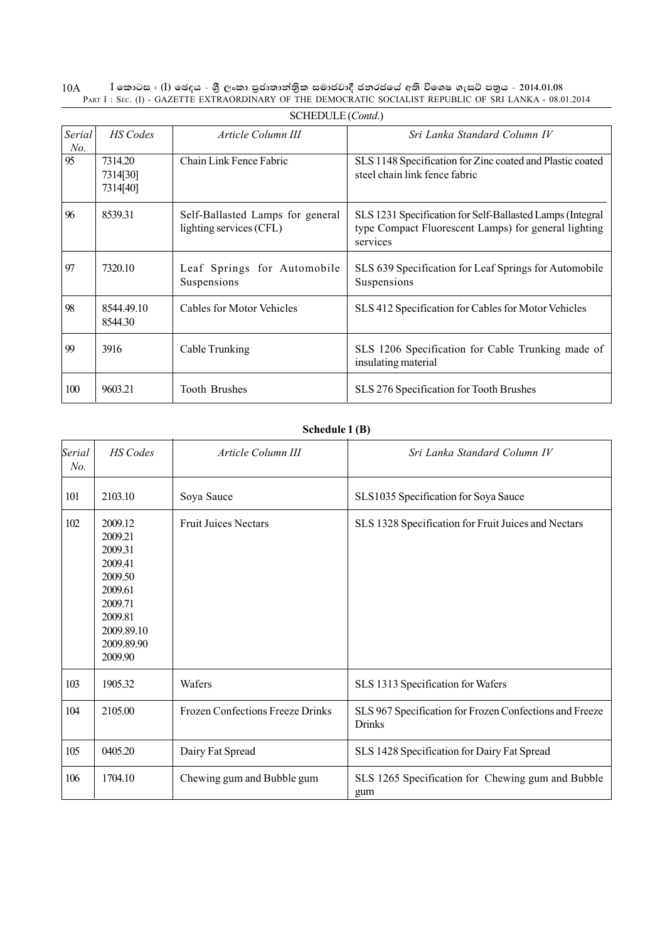$\rm I$  කොටස : ( $\rm I$ ) ඡෙදය - ශුී ලංකා පුජාතාන්තිුක සමාජවාදී ජනරජයේ අති විශෙෂ ගැසට් පතුය - 2014.01.08 PART I : SEC. (I) - GAZETTE EXTRAORDINARY OF THE DEMOCRATIC SOCIALIST REPUBLIC OF SRI LANKA - 08.01.2014 10A

|               | SUILDULL (COMM.)                |                                                             |                                                                                                                               |  |
|---------------|---------------------------------|-------------------------------------------------------------|-------------------------------------------------------------------------------------------------------------------------------|--|
| Serial<br>No. | HS Codes                        | Article Column III                                          | Sri Lanka Standard Column IV                                                                                                  |  |
| 95            | 7314.20<br>7314[30]<br>7314[40] | Chain Link Fence Fabric                                     | SLS 1148 Specification for Zinc coated and Plastic coated<br>steel chain link fence fabric                                    |  |
| 96            | 8539.31                         | Self-Ballasted Lamps for general<br>lighting services (CFL) | SLS 1231 Specification for Self-Ballasted Lamps (Integral<br>type Compact Fluorescent Lamps) for general lighting<br>services |  |
| 97            | 7320.10                         | Leaf Springs for Automobile<br>Suspensions                  | SLS 639 Specification for Leaf Springs for Automobile<br>Suspensions                                                          |  |
| 98            | 8544.49.10<br>8544.30           | Cables for Motor Vehicles                                   | SLS 412 Specification for Cables for Motor Vehicles                                                                           |  |
| 99            | 3916                            | Cable Trunking                                              | SLS 1206 Specification for Cable Trunking made of<br>insulating material                                                      |  |
| 100           | 9603.21                         | <b>Tooth Brushes</b>                                        | SLS 276 Specification for Tooth Brushes                                                                                       |  |

SCHEDULE (*Contd*.)

#### **Schedule 1 (B)**

| Serial<br>No. | HS Codes                                                                                                                    | Article Column III               | Sri Lanka Standard Column IV                                             |
|---------------|-----------------------------------------------------------------------------------------------------------------------------|----------------------------------|--------------------------------------------------------------------------|
| 101           | 2103.10                                                                                                                     | Soya Sauce                       | SLS1035 Specification for Soya Sauce                                     |
| 102           | 2009.12<br>2009.21<br>2009.31<br>2009.41<br>2009.50<br>2009.61<br>2009.71<br>2009.81<br>2009.89.10<br>2009.89.90<br>2009.90 | <b>Fruit Juices Nectars</b>      | SLS 1328 Specification for Fruit Juices and Nectars                      |
| 103           | 1905.32                                                                                                                     | Wafers                           | SLS 1313 Specification for Wafers                                        |
| 104           | 2105.00                                                                                                                     | Frozen Confections Freeze Drinks | SLS 967 Specification for Frozen Confections and Freeze<br><b>Drinks</b> |
| 105           | 0405.20                                                                                                                     | Dairy Fat Spread                 | SLS 1428 Specification for Dairy Fat Spread                              |
| 106           | 1704.10                                                                                                                     | Chewing gum and Bubble gum       | SLS 1265 Specification for Chewing gum and Bubble<br>gum                 |